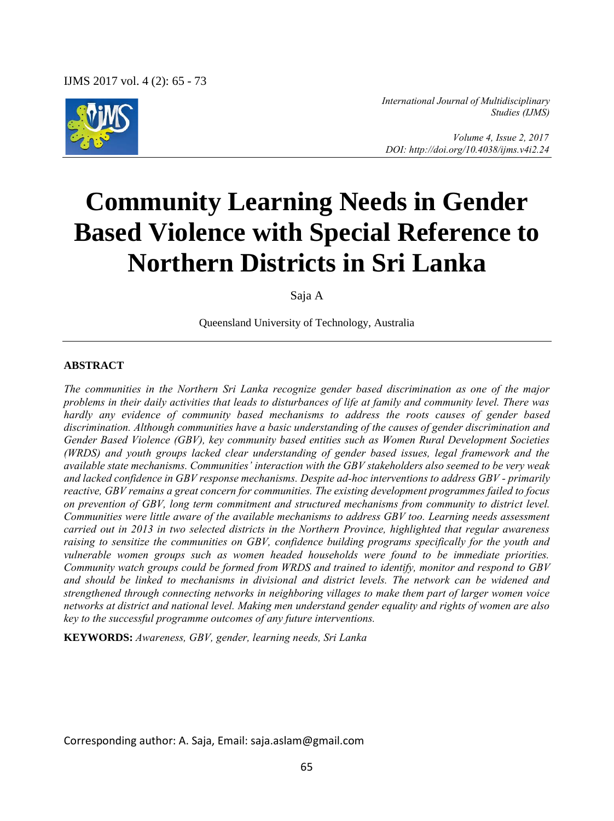

*International Journal of Multidisciplinary Studies (IJMS)* 

 *Volume 4, Issue 2, 2017 DOI: http://doi.org/10.4038/ijms.v4i2.24* 

# **Community Learning Needs in Gender Based Violence with Special Reference to Northern Districts in Sri Lanka**

Saja A

Queensland University of Technology, Australia

#### **ABSTRACT**

*The communities in the Northern Sri Lanka recognize gender based discrimination as one of the major problems in their daily activities that leads to disturbances of life at family and community level. There was hardly any evidence of community based mechanisms to address the roots causes of gender based discrimination. Although communities have a basic understanding of the causes of gender discrimination and Gender Based Violence (GBV), key community based entities such as Women Rural Development Societies (WRDS) and youth groups lacked clear understanding of gender based issues, legal framework and the available state mechanisms. Communities' interaction with the GBV stakeholders also seemed to be very weak and lacked confidence in GBV response mechanisms. Despite ad-hoc interventions to address GBV - primarily reactive, GBV remains a great concern for communities. The existing development programmes failed to focus on prevention of GBV, long term commitment and structured mechanisms from community to district level. Communities were little aware of the available mechanisms to address GBV too. Learning needs assessment carried out in 2013 in two selected districts in the Northern Province, highlighted that regular awareness raising to sensitize the communities on GBV, confidence building programs specifically for the youth and vulnerable women groups such as women headed households were found to be immediate priorities. Community watch groups could be formed from WRDS and trained to identify, monitor and respond to GBV and should be linked to mechanisms in divisional and district levels. The network can be widened and strengthened through connecting networks in neighboring villages to make them part of larger women voice networks at district and national level. Making men understand gender equality and rights of women are also key to the successful programme outcomes of any future interventions.*

**KEYWORDS:** *Awareness, GBV, gender, learning needs, Sri Lanka* 

Corresponding author: A. Saja, Email: saja.aslam@gmail.com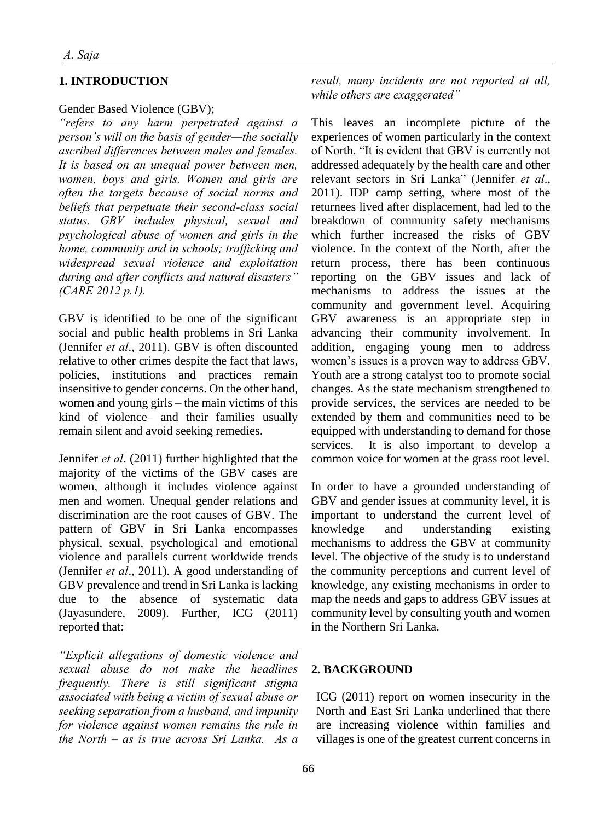### **1. INTRODUCTION**

#### Gender Based Violence (GBV);

*"refers to any harm perpetrated against a person's will on the basis of gender—the socially ascribed differences between males and females. It is based on an unequal power between men, women, boys and girls. Women and girls are often the targets because of social norms and beliefs that perpetuate their second-class social status. GBV includes physical, sexual and psychological abuse of women and girls in the home, community and in schools; trafficking and widespread sexual violence and exploitation during and after conflicts and natural disasters" (CARE 2012 p.1).* 

GBV is identified to be one of the significant social and public health problems in Sri Lanka (Jennifer *et al*., 2011). GBV is often discounted relative to other crimes despite the fact that laws, policies, institutions and practices remain insensitive to gender concerns. On the other hand, women and young girls – the main victims of this kind of violence– and their families usually remain silent and avoid seeking remedies.

Jennifer *et al*. (2011) further highlighted that the majority of the victims of the GBV cases are women, although it includes violence against men and women. Unequal gender relations and discrimination are the root causes of GBV. The pattern of GBV in Sri Lanka encompasses physical, sexual, psychological and emotional violence and parallels current worldwide trends (Jennifer *et al*., 2011). A good understanding of GBV prevalence and trend in Sri Lanka is lacking due to the absence of systematic data (Jayasundere, 2009). Further, ICG (2011) reported that:

*"Explicit allegations of domestic violence and sexual abuse do not make the headlines frequently. There is still significant stigma associated with being a victim of sexual abuse or seeking separation from a husband, and impunity for violence against women remains the rule in the North – as is true across Sri Lanka. As a* 

*result, many incidents are not reported at all, while others are exaggerated"*

This leaves an incomplete picture of the experiences of women particularly in the context of North. "It is evident that GBV is currently not addressed adequately by the health care and other relevant sectors in Sri Lanka" (Jennifer *et al*., 2011). IDP camp setting, where most of the returnees lived after displacement, had led to the breakdown of community safety mechanisms which further increased the risks of GBV violence. In the context of the North, after the return process, there has been continuous reporting on the GBV issues and lack of mechanisms to address the issues at the community and government level. Acquiring GBV awareness is an appropriate step in advancing their community involvement. In addition, engaging young men to address women's issues is a proven way to address GBV. Youth are a strong catalyst too to promote social changes. As the state mechanism strengthened to provide services, the services are needed to be extended by them and communities need to be equipped with understanding to demand for those services. It is also important to develop a common voice for women at the grass root level.

In order to have a grounded understanding of GBV and gender issues at community level, it is important to understand the current level of knowledge and understanding existing mechanisms to address the GBV at community level. The objective of the study is to understand the community perceptions and current level of knowledge, any existing mechanisms in order to map the needs and gaps to address GBV issues at community level by consulting youth and women in the Northern Sri Lanka.

#### **2. BACKGROUND**

ICG (2011) report on women insecurity in the North and East Sri Lanka underlined that there are increasing violence within families and villages is one of the greatest current concerns in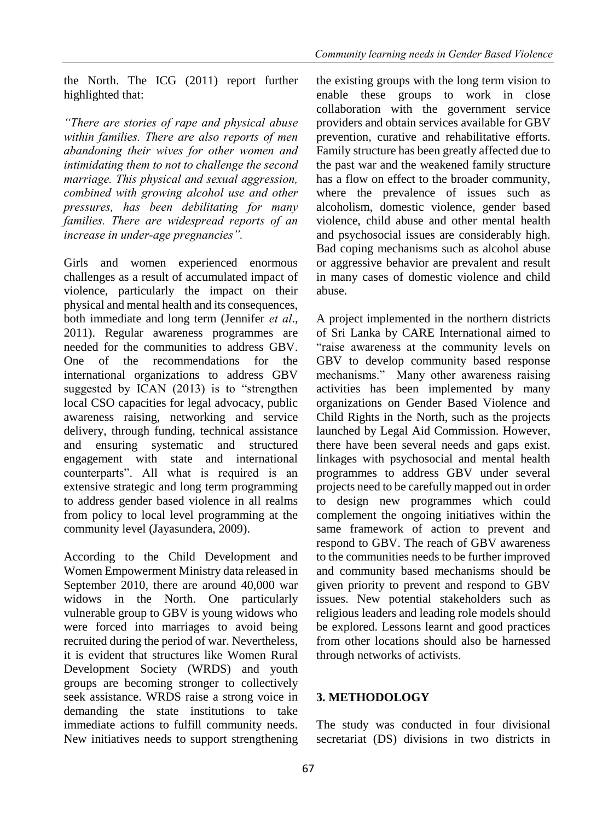the North. The ICG (2011) report further highlighted that:

*"There are stories of rape and physical abuse within families. There are also reports of men abandoning their wives for other women and intimidating them to not to challenge the second marriage. This physical and sexual aggression, combined with growing alcohol use and other pressures, has been debilitating for many families. There are widespread reports of an increase in under-age pregnancies".*

Girls and women experienced enormous challenges as a result of accumulated impact of violence, particularly the impact on their physical and mental health and its consequences, both immediate and long term (Jennifer *et al*., 2011). Regular awareness programmes are needed for the communities to address GBV. One of the recommendations for the international organizations to address GBV suggested by ICAN (2013) is to "strengthen local CSO capacities for legal advocacy, public awareness raising, networking and service delivery, through funding, technical assistance and ensuring systematic and structured engagement with state and international counterparts". All what is required is an extensive strategic and long term programming to address gender based violence in all realms from policy to local level programming at the community level (Jayasundera, 2009).

According to the Child Development and Women Empowerment Ministry data released in September 2010, there are around 40,000 war widows in the North. One particularly vulnerable group to GBV is young widows who were forced into marriages to avoid being recruited during the period of war. Nevertheless, it is evident that structures like Women Rural Development Society (WRDS) and youth groups are becoming stronger to collectively seek assistance. WRDS raise a strong voice in demanding the state institutions to take immediate actions to fulfill community needs. New initiatives needs to support strengthening

the existing groups with the long term vision to enable these groups to work in close collaboration with the government service providers and obtain services available for GBV prevention, curative and rehabilitative efforts. Family structure has been greatly affected due to the past war and the weakened family structure has a flow on effect to the broader community, where the prevalence of issues such as alcoholism, domestic violence, gender based violence, child abuse and other mental health and psychosocial issues are considerably high. Bad coping mechanisms such as alcohol abuse or aggressive behavior are prevalent and result in many cases of domestic violence and child abuse.

A project implemented in the northern districts of Sri Lanka by CARE International aimed to "raise awareness at the community levels on GBV to develop community based response mechanisms." Many other awareness raising activities has been implemented by many organizations on Gender Based Violence and Child Rights in the North, such as the projects launched by Legal Aid Commission. However, there have been several needs and gaps exist. linkages with psychosocial and mental health programmes to address GBV under several projects need to be carefully mapped out in order to design new programmes which could complement the ongoing initiatives within the same framework of action to prevent and respond to GBV. The reach of GBV awareness to the communities needs to be further improved and community based mechanisms should be given priority to prevent and respond to GBV issues. New potential stakeholders such as religious leaders and leading role models should be explored. Lessons learnt and good practices from other locations should also be harnessed through networks of activists.

# **3. METHODOLOGY**

The study was conducted in four divisional secretariat (DS) divisions in two districts in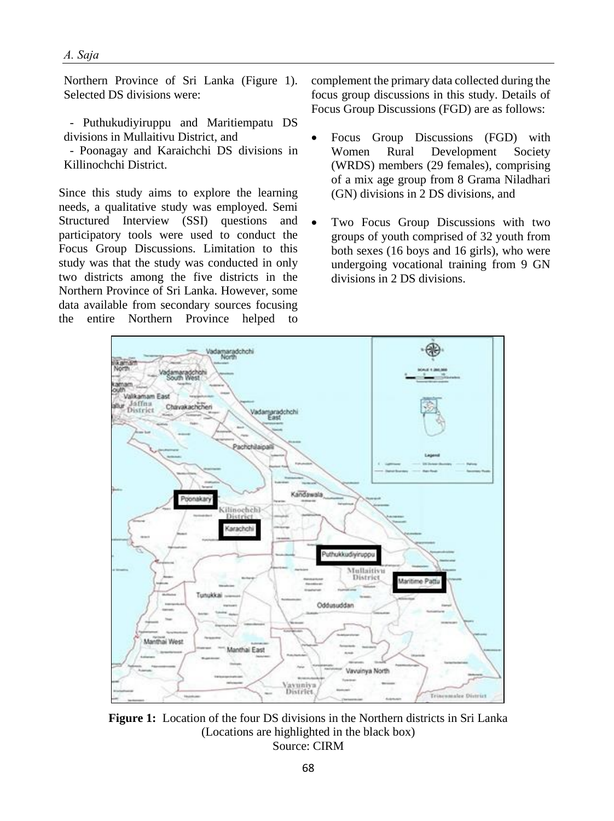Northern Province of Sri Lanka (Figure 1). Selected DS divisions were:

 - Puthukudiyiruppu and Maritiempatu DS divisions in Mullaitivu District, and

 - Poonagay and Karaichchi DS divisions in Killinochchi District.

Since this study aims to explore the learning needs, a qualitative study was employed. Semi Structured Interview (SSI) questions and participatory tools were used to conduct the Focus Group Discussions. Limitation to this study was that the study was conducted in only two districts among the five districts in the Northern Province of Sri Lanka. However, some data available from secondary sources focusing the entire Northern Province helped to

complement the primary data collected during the focus group discussions in this study. Details of Focus Group Discussions (FGD) are as follows:

- Focus Group Discussions (FGD) with Women Rural Development Society (WRDS) members (29 females), comprising of a mix age group from 8 Grama Niladhari (GN) divisions in 2 DS divisions, and
- Two Focus Group Discussions with two groups of youth comprised of 32 youth from both sexes (16 boys and 16 girls), who were undergoing vocational training from 9 GN divisions in 2 DS divisions.



**Figure 1:** Location of the four DS divisions in the Northern districts in Sri Lanka (Locations are highlighted in the black box) Source: CIRM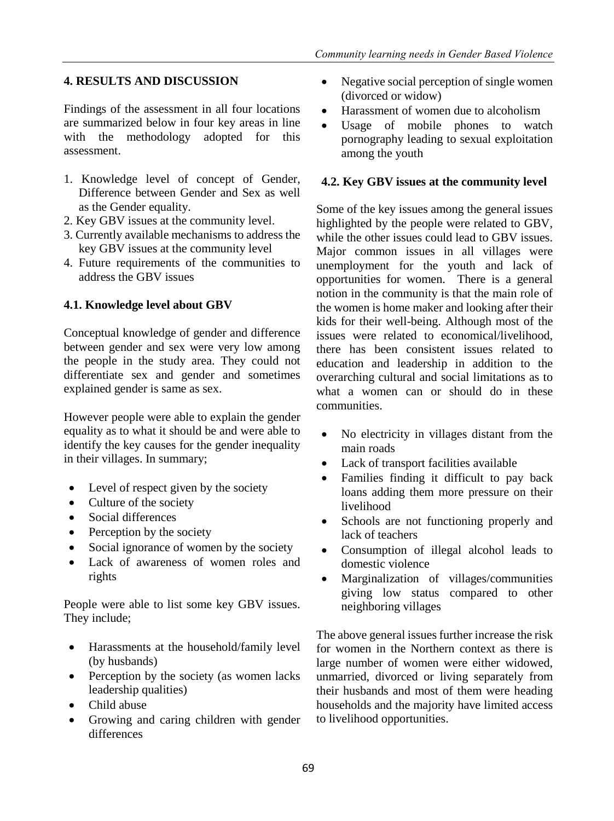# **4. RESULTS AND DISCUSSION**

Findings of the assessment in all four locations are summarized below in four key areas in line with the methodology adopted for this assessment.

- 1. Knowledge level of concept of Gender, Difference between Gender and Sex as well as the Gender equality.
- 2. Key GBV issues at the community level.
- 3. Currently available mechanisms to address the key GBV issues at the community level
- 4. Future requirements of the communities to address the GBV issues

# **4.1. Knowledge level about GBV**

Conceptual knowledge of gender and difference between gender and sex were very low among the people in the study area. They could not differentiate sex and gender and sometimes explained gender is same as sex.

However people were able to explain the gender equality as to what it should be and were able to identify the key causes for the gender inequality in their villages. In summary;

- Level of respect given by the society
- Culture of the society
- Social differences
- Perception by the society
- Social ignorance of women by the society
- Lack of awareness of women roles and rights

People were able to list some key GBV issues. They include;

- Harassments at the household/family level (by husbands)
- Perception by the society (as women lacks leadership qualities)
- Child abuse
- Growing and caring children with gender differences
- Negative social perception of single women (divorced or widow)
- Harassment of women due to alcoholism
- Usage of mobile phones to watch pornography leading to sexual exploitation among the youth

## **4.2. Key GBV issues at the community level**

Some of the key issues among the general issues highlighted by the people were related to GBV, while the other issues could lead to GBV issues. Major common issues in all villages were unemployment for the youth and lack of opportunities for women. There is a general notion in the community is that the main role of the women is home maker and looking after their kids for their well-being. Although most of the issues were related to economical/livelihood, there has been consistent issues related to education and leadership in addition to the overarching cultural and social limitations as to what a women can or should do in these communities.

- No electricity in villages distant from the main roads
- Lack of transport facilities available
- Families finding it difficult to pay back loans adding them more pressure on their livelihood
- Schools are not functioning properly and lack of teachers
- Consumption of illegal alcohol leads to domestic violence
- Marginalization of villages/communities giving low status compared to other neighboring villages

The above general issues further increase the risk for women in the Northern context as there is large number of women were either widowed, unmarried, divorced or living separately from their husbands and most of them were heading households and the majority have limited access to livelihood opportunities.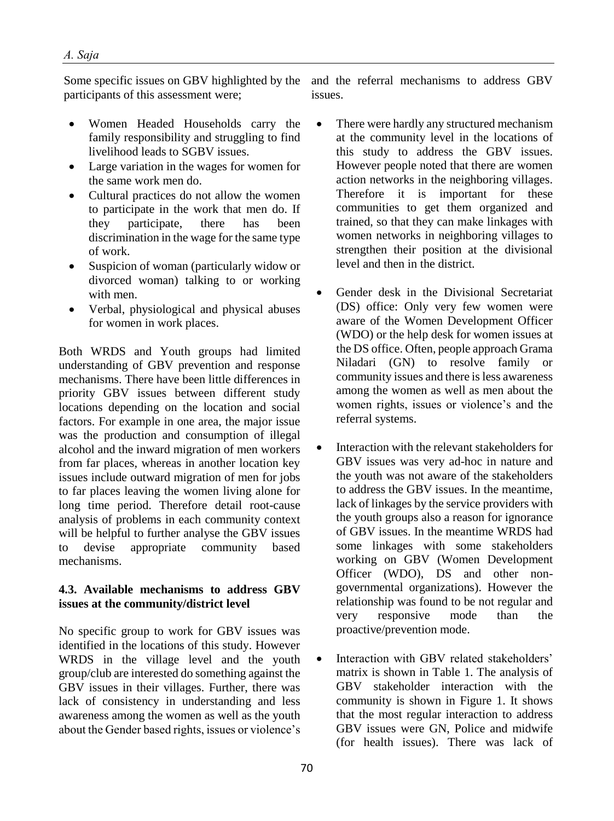participants of this assessment were;

- Women Headed Households carry the family responsibility and struggling to find livelihood leads to SGBV issues.
- Large variation in the wages for women for the same work men do.
- Cultural practices do not allow the women to participate in the work that men do. If they participate, there has been discrimination in the wage for the same type of work.
- Suspicion of woman (particularly widow or divorced woman) talking to or working with men.
- Verbal, physiological and physical abuses for women in work places.

Both WRDS and Youth groups had limited understanding of GBV prevention and response mechanisms. There have been little differences in priority GBV issues between different study locations depending on the location and social factors. For example in one area, the major issue was the production and consumption of illegal alcohol and the inward migration of men workers from far places, whereas in another location key issues include outward migration of men for jobs to far places leaving the women living alone for long time period. Therefore detail root-cause analysis of problems in each community context will be helpful to further analyse the GBV issues to devise appropriate community based mechanisms.

#### **4.3. Available mechanisms to address GBV issues at the community/district level**

No specific group to work for GBV issues was identified in the locations of this study. However WRDS in the village level and the youth group/club are interested do something against the GBV issues in their villages. Further, there was lack of consistency in understanding and less awareness among the women as well as the youth about the Gender based rights, issues or violence's

Some specific issues on GBV highlighted by the and the referral mechanisms to address GBV issues.

- There were hardly any structured mechanism at the community level in the locations of this study to address the GBV issues. However people noted that there are women action networks in the neighboring villages. Therefore it is important for these communities to get them organized and trained, so that they can make linkages with women networks in neighboring villages to strengthen their position at the divisional level and then in the district.
- Gender desk in the Divisional Secretariat (DS) office: Only very few women were aware of the Women Development Officer (WDO) or the help desk for women issues at the DS office. Often, people approach Grama Niladari (GN) to resolve family or community issues and there is less awareness among the women as well as men about the women rights, issues or violence's and the referral systems.
- Interaction with the relevant stakeholders for GBV issues was very ad-hoc in nature and the youth was not aware of the stakeholders to address the GBV issues. In the meantime, lack of linkages by the service providers with the youth groups also a reason for ignorance of GBV issues. In the meantime WRDS had some linkages with some stakeholders working on GBV (Women Development Officer (WDO), DS and other nongovernmental organizations). However the relationship was found to be not regular and very responsive mode than the proactive/prevention mode.
- Interaction with GBV related stakeholders' matrix is shown in Table 1. The analysis of GBV stakeholder interaction with the community is shown in Figure 1. It shows that the most regular interaction to address GBV issues were GN, Police and midwife (for health issues). There was lack of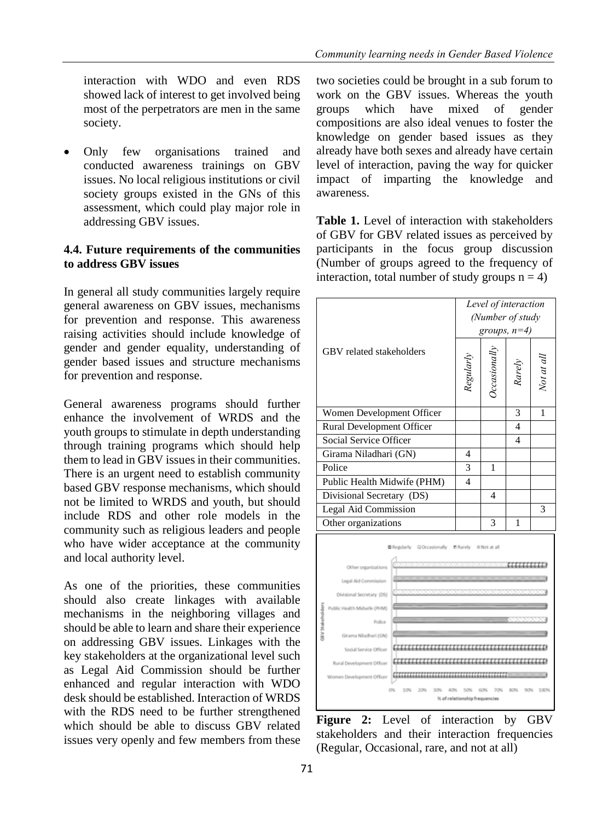interaction with WDO and even RDS showed lack of interest to get involved being most of the perpetrators are men in the same society.

 Only few organisations trained and conducted awareness trainings on GBV issues. No local religious institutions or civil society groups existed in the GNs of this assessment, which could play major role in addressing GBV issues.

### **4.4. Future requirements of the communities to address GBV issues**

In general all study communities largely require general awareness on GBV issues, mechanisms for prevention and response. This awareness raising activities should include knowledge of gender and gender equality, understanding of gender based issues and structure mechanisms for prevention and response.

General awareness programs should further enhance the involvement of WRDS and the youth groups to stimulate in depth understanding through training programs which should help them to lead in GBV issues in their communities. There is an urgent need to establish community based GBV response mechanisms, which should not be limited to WRDS and youth, but should include RDS and other role models in the community such as religious leaders and people who have wider acceptance at the community and local authority level.

As one of the priorities, these communities should also create linkages with available mechanisms in the neighboring villages and should be able to learn and share their experience on addressing GBV issues. Linkages with the key stakeholders at the organizational level such as Legal Aid Commission should be further enhanced and regular interaction with WDO desk should be established. Interaction of WRDS with the RDS need to be further strengthened which should be able to discuss GBV related issues very openly and few members from these two societies could be brought in a sub forum to work on the GBV issues. Whereas the youth groups which have mixed of gender compositions are also ideal venues to foster the knowledge on gender based issues as they already have both sexes and already have certain level of interaction, paving the way for quicker impact of imparting the knowledge and awareness.

**Table 1.** Level of interaction with stakeholders of GBV for GBV related issues as perceived by participants in the focus group discussion (Number of groups agreed to the frequency of interaction, total number of study groups  $n = 4$ )

|                                                                |  | Level of interaction<br>(Number of study<br>groups, $n=4$ ) |          |                |            |
|----------------------------------------------------------------|--|-------------------------------------------------------------|----------|----------------|------------|
| <b>GBV</b> related stakeholders                                |  | Regularly                                                   | ccasiona | Rarely         | Not at al. |
| Women Development Officer                                      |  |                                                             |          | 3              | 1          |
| Rural Development Officer                                      |  |                                                             |          | $\overline{4}$ |            |
| Social Service Officer                                         |  |                                                             |          | 4              |            |
| Girama Niladhari (GN)                                          |  | 4                                                           |          |                |            |
| Police                                                         |  | 3                                                           | 1        |                |            |
| Public Health Midwife (PHM)                                    |  | 4                                                           |          |                |            |
| Divisional Secretary (DS)                                      |  |                                                             | 4        |                |            |
| Legal Aid Commission                                           |  |                                                             |          |                | 3          |
| Other organizations                                            |  |                                                             | 3        | 1              |            |
| B Regularly C Occasionally<br><b>E</b> Ranely<br>St Not at all |  |                                                             |          |                |            |
|                                                                |  |                                                             |          |                |            |
| Other organizations                                            |  |                                                             |          |                |            |
| Legal Aid Commission                                           |  |                                                             |          |                |            |
| Divisional Secretary (DS)                                      |  |                                                             |          |                |            |
| Public Health Midwife (PHM)                                    |  |                                                             |          |                |            |
| Police<br>Girama Niladhari (GN)                                |  |                                                             |          |                |            |
| Social Service Officer                                         |  |                                                             |          |                |            |
| Rural Development Officer                                      |  |                                                             |          |                |            |
| Women Development Officer                                      |  |                                                             |          |                |            |

**Figure 2:** Level of interaction by GBV stakeholders and their interaction frequencies (Regular, Occasional, rare, and not at all)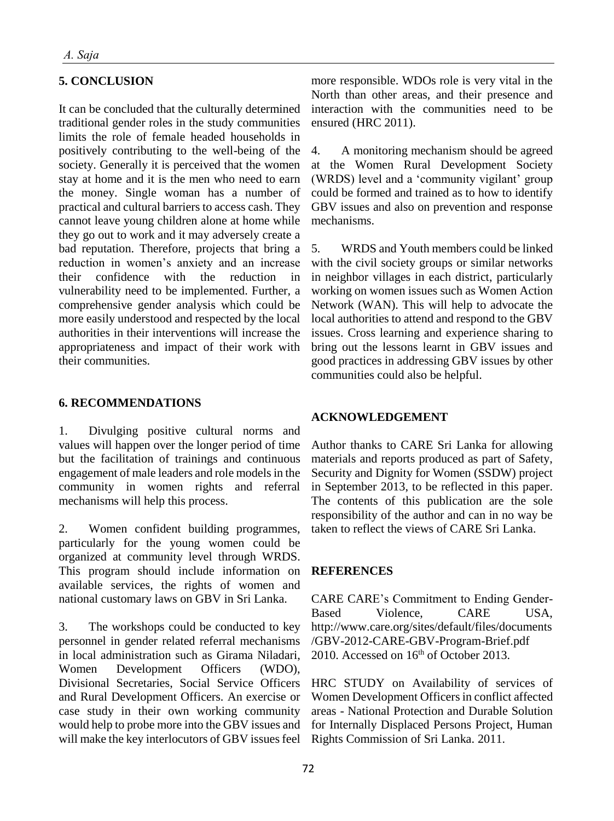# **5. CONCLUSION**

It can be concluded that the culturally determined traditional gender roles in the study communities limits the role of female headed households in positively contributing to the well-being of the society. Generally it is perceived that the women stay at home and it is the men who need to earn the money. Single woman has a number of practical and cultural barriers to access cash. They cannot leave young children alone at home while they go out to work and it may adversely create a bad reputation. Therefore, projects that bring a reduction in women's anxiety and an increase their confidence with the reduction in vulnerability need to be implemented. Further, a comprehensive gender analysis which could be more easily understood and respected by the local authorities in their interventions will increase the appropriateness and impact of their work with their communities.

## **6. RECOMMENDATIONS**

1. Divulging positive cultural norms and values will happen over the longer period of time but the facilitation of trainings and continuous engagement of male leaders and role models in the community in women rights and referral mechanisms will help this process.

2. Women confident building programmes, particularly for the young women could be organized at community level through WRDS. This program should include information on available services, the rights of women and national customary laws on GBV in Sri Lanka.

3. The workshops could be conducted to key personnel in gender related referral mechanisms in local administration such as Girama Niladari, Women Development Officers (WDO), Divisional Secretaries, Social Service Officers and Rural Development Officers. An exercise or case study in their own working community would help to probe more into the GBV issues and will make the key interlocutors of GBV issues feel

more responsible. WDOs role is very vital in the North than other areas, and their presence and interaction with the communities need to be ensured (HRC 2011).

4. A monitoring mechanism should be agreed at the Women Rural Development Society (WRDS) level and a 'community vigilant' group could be formed and trained as to how to identify GBV issues and also on prevention and response mechanisms.

5. WRDS and Youth members could be linked with the civil society groups or similar networks in neighbor villages in each district, particularly working on women issues such as Women Action Network (WAN). This will help to advocate the local authorities to attend and respond to the GBV issues. Cross learning and experience sharing to bring out the lessons learnt in GBV issues and good practices in addressing GBV issues by other communities could also be helpful.

#### **ACKNOWLEDGEMENT**

Author thanks to CARE Sri Lanka for allowing materials and reports produced as part of Safety, Security and Dignity for Women (SSDW) project in September 2013, to be reflected in this paper. The contents of this publication are the sole responsibility of the author and can in no way be taken to reflect the views of CARE Sri Lanka.

#### **REFERENCES**

CARE CARE's Commitment to Ending Gender-Based Violence, CARE USA, http://www.care.org/sites/default/files/documents /GBV-2012-CARE-GBV-Program-Brief.pdf 2010. Accessed on  $16<sup>th</sup>$  of October 2013.

HRC STUDY on Availability of services of Women Development Officers in conflict affected areas - National Protection and Durable Solution for Internally Displaced Persons Project, Human Rights Commission of Sri Lanka. 2011.